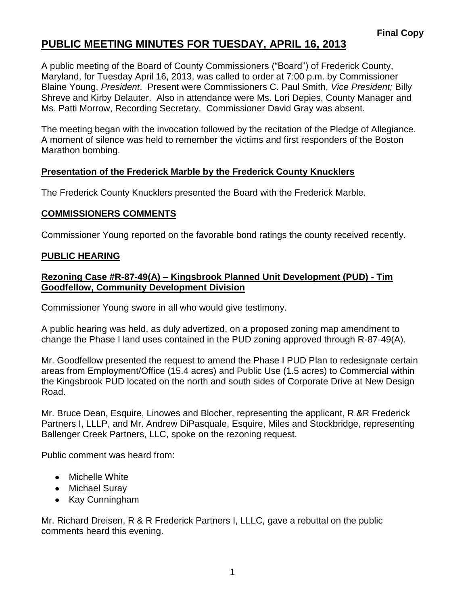# **PUBLIC MEETING MINUTES FOR TUESDAY, APRIL 16, 2013**

A public meeting of the Board of County Commissioners ("Board") of Frederick County, Maryland, for Tuesday April 16, 2013, was called to order at 7:00 p.m. by Commissioner Blaine Young, *President*. Present were Commissioners C. Paul Smith, *Vice President;* Billy Shreve and Kirby Delauter. Also in attendance were Ms. Lori Depies, County Manager and Ms. Patti Morrow, Recording Secretary. Commissioner David Gray was absent.

The meeting began with the invocation followed by the recitation of the Pledge of Allegiance. A moment of silence was held to remember the victims and first responders of the Boston Marathon bombing.

## **Presentation of the Frederick Marble by the Frederick County Knucklers**

The Frederick County Knucklers presented the Board with the Frederick Marble.

### **COMMISSIONERS COMMENTS**

Commissioner Young reported on the favorable bond ratings the county received recently.

### **PUBLIC HEARING**

### **Rezoning Case #R-87-49(A) – Kingsbrook Planned Unit Development (PUD) - Tim Goodfellow, Community Development Division**

Commissioner Young swore in all who would give testimony.

A public hearing was held, as duly advertized, on a proposed zoning map amendment to change the Phase I land uses contained in the PUD zoning approved through R-87-49(A).

Mr. Goodfellow presented the request to amend the Phase I PUD Plan to redesignate certain areas from Employment/Office (15.4 acres) and Public Use (1.5 acres) to Commercial within the Kingsbrook PUD located on the north and south sides of Corporate Drive at New Design Road.

Mr. Bruce Dean, Esquire, Linowes and Blocher, representing the applicant, R &R Frederick Partners I, LLLP, and Mr. Andrew DiPasquale, Esquire, Miles and Stockbridge, representing Ballenger Creek Partners, LLC, spoke on the rezoning request.

Public comment was heard from:

- Michelle White
- Michael Suray
- Kay Cunningham

Mr. Richard Dreisen, R & R Frederick Partners I, LLLC, gave a rebuttal on the public comments heard this evening.